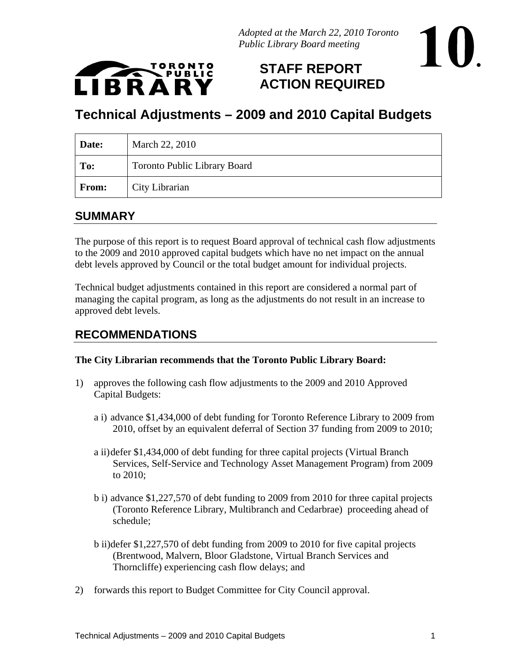

## **STAFF REPORT ACTION REQUIRED**

**.**

# **Technical Adjustments – 2009 and 2010 Capital Budgets**

#### **SUMMARY**

The purpose of this report is to request Board approval of technical cash flow adjustments to the 2009 and 2010 approved capital budgets which have no net impact on the annual debt levels approved by Council or the total budget amount for individual projects.

Technical budget adjustments contained in this report are considered a normal part of managing the capital program, as long as the adjustments do not result in an increase to approved debt levels.

#### **RECOMMENDATIONS**

#### **The City Librarian recommends that the Toronto Public Library Board:**

- 1) approves the following cash flow adjustments to the 2009 and 2010 Approved Capital Budgets:
	- a i) advance \$1,434,000 of debt funding for Toronto Reference Library to 2009 from 2010, offset by an equivalent deferral of Section 37 funding from 2009 to 2010;
	- a ii)defer \$1,434,000 of debt funding for three capital projects (Virtual Branch Services, Self-Service and Technology Asset Management Program) from 2009 to  $2010$ ;
	- b i) advance \$1,227,570 of debt funding to 2009 from 2010 for three capital projects (Toronto Reference Library, Multibranch and Cedarbrae) proceeding ahead of schedule;
	- b ii)defer \$1,227,570 of debt funding from 2009 to 2010 for five capital projects (Brentwood, Malvern, Bloor Gladstone, Virtual Branch Services and Thorncliffe) experiencing cash flow delays; and
- 2) forwards this report to Budget Committee for City Council approval.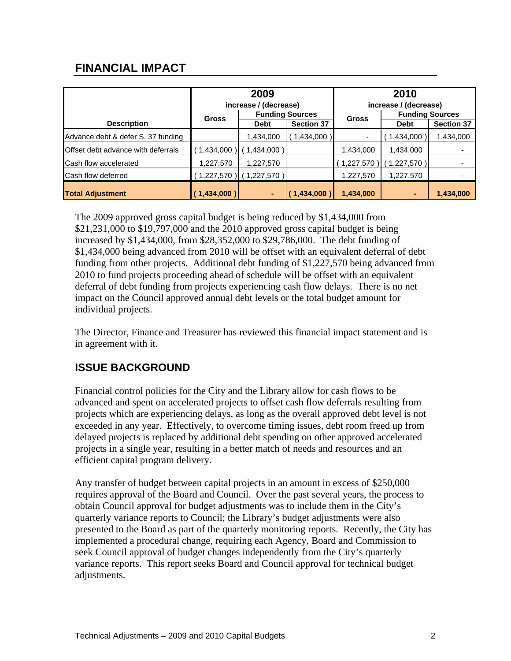### **FINANCIAL IMPACT**

|                                    |                             | 2009                   |                   |                                                       | 2010                   |                   |  |
|------------------------------------|-----------------------------|------------------------|-------------------|-------------------------------------------------------|------------------------|-------------------|--|
|                                    |                             | increase / (decrease)  |                   | increase / (decrease)                                 |                        |                   |  |
|                                    | Gross                       | <b>Funding Sources</b> |                   | Gross                                                 | <b>Funding Sources</b> |                   |  |
| <b>Description</b>                 |                             | <b>Debt</b>            | <b>Section 37</b> |                                                       | Debt                   | <b>Section 37</b> |  |
| Advance debt & defer S. 37 funding |                             | 1,434,000              | (1,434,000)       |                                                       | (1,434,000)            | 1,434,000         |  |
| Offset debt advance with deferrals | $(1,434,000)$ $(1,434,000)$ |                        |                   | 1,434,000                                             | 1,434,000              |                   |  |
| Cash flow accelerated              | 1,227,570                   | 1,227,570              |                   | $(1,227,570)$ (1,227,570)                             |                        |                   |  |
| Cash flow deferred                 | $(1,227,570)$ $(1,227,570)$ |                        |                   | 1,227,570                                             | 1,227,570              |                   |  |
| <b>Total Adjustment</b>            | (1,434,000)                 |                        |                   | $\begin{bmatrix} (1,434,000) \end{bmatrix}$ 1,434,000 |                        | 1,434,000         |  |

The 2009 approved gross capital budget is being reduced by \$1,434,000 from \$21,231,000 to \$19,797,000 and the 2010 approved gross capital budget is being increased by \$1,434,000, from \$28,352,000 to \$29,786,000. The debt funding of \$1,434,000 being advanced from 2010 will be offset with an equivalent deferral of debt funding from other projects. Additional debt funding of \$1,227,570 being advanced from 2010 to fund projects proceeding ahead of schedule will be offset with an equivalent deferral of debt funding from projects experiencing cash flow delays. There is no net impact on the Council approved annual debt levels or the total budget amount for individual projects.

The Director, Finance and Treasurer has reviewed this financial impact statement and is in agreement with it.

#### **ISSUE BACKGROUND**

Financial control policies for the City and the Library allow for cash flows to be advanced and spent on accelerated projects to offset cash flow deferrals resulting from projects which are experiencing delays, as long as the overall approved debt level is not exceeded in any year. Effectively, to overcome timing issues, debt room freed up from delayed projects is replaced by additional debt spending on other approved accelerated projects in a single year, resulting in a better match of needs and resources and an efficient capital program delivery.

Any transfer of budget between capital projects in an amount in excess of \$250,000 requires approval of the Board and Council. Over the past several years, the process to obtain Council approval for budget adjustments was to include them in the City's quarterly variance reports to Council; the Library's budget adjustments were also presented to the Board as part of the quarterly monitoring reports. Recently, the City has implemented a procedural change, requiring each Agency, Board and Commission to seek Council approval of budget changes independently from the City's quarterly variance reports. This report seeks Board and Council approval for technical budget adjustments.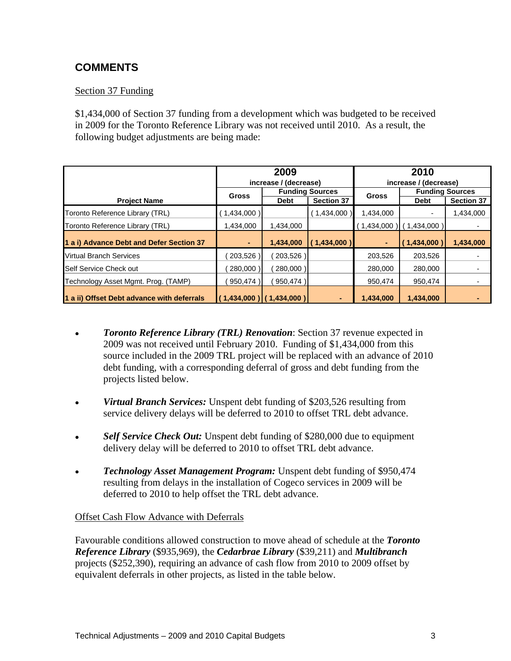### **COMMENTS**

#### Section 37 Funding Section 37 Funding

\$1,434,000 of Section 37 funding from a development which was budgeted to be received in 2009 for the Toronto Reference Library was not received until 2010. As a result, the following budget adjustments are being made:

| 2009                                       |                             |                           |                         | 2010                        |                        |                                                                        |
|--------------------------------------------|-----------------------------|---------------------------|-------------------------|-----------------------------|------------------------|------------------------------------------------------------------------|
|                                            |                             | increase / (decrease)     |                         | increase / (decrease)       |                        |                                                                        |
|                                            | Gross                       | <b>Funding Sources</b>    |                         | <b>Gross</b>                | <b>Funding Sources</b> |                                                                        |
| <b>Project Name</b>                        |                             | Debt                      | Section 37              |                             | Debt                   | Section 37                                                             |
| Toronto Reference Library (TRL)            | 1,434,000)                  |                           | (1,434,000)             | 1,434,000                   |                        | 1,434,000                                                              |
| Toronto Reference Library (TRL)            | 1,434,000                   | 1,434,000                 |                         | (1,434,000)                 | (1,434,000)            |                                                                        |
| 1 a i) Advance Debt and Defer Section 37   |                             |                           | $1,434,000$ (1,434,000) |                             |                        | $\left  \begin{array}{cc} (1,434,000) & 1,434,000 \end{array} \right $ |
| <b>Virtual Branch Services</b>             | (203,526)                   | (203,526)                 |                         | 203,526                     | 203,526                |                                                                        |
| Self Service Check out                     | (280,000)                   | (280,000)                 |                         | 280,000                     | 280,000                |                                                                        |
| Technology Asset Mgmt. Prog. (TAMP)        |                             | $(950, 474)$ $(950, 474)$ |                         | 950,474                     | 950,474                |                                                                        |
| 1 a ii) Offset Debt advance with deferrals | $(1,434,000)$ $(1,434,000)$ |                           |                         | $\vert$ 1,434,000 1,434,000 |                        |                                                                        |

- *Toronto Reference Library (TRL) Renovation*: Section 37 revenue expected in  $\bullet$ 2009 was not received until February 2010. Funding of \$1,434,000 from this source included in the 2009 TRL project will be replaced with an advance of 2010 debt funding, with a corresponding deferral of gross and debt funding from the projects listed below.
- *Virtual Branch Services:* Unspent debt funding of \$203,526 resulting from  $\bullet$ service delivery delays will be deferred to 2010 to offset TRL debt advance.
- *Self Service Check Out:* Unspent debt funding of \$280,000 due to equipment delivery delay will be deferred to 2010 to offset TRL debt advance.
- *Technology Asset Management Program:* Unspent debt funding of \$950,474 resulting from delays in the installation of Cogeco services in 2009 will be deferred to 2010 to help offset the TRL debt advance.

#### Offset Cash Flow Advance with Deferrals

Favourable conditions allowed construction to move ahead of schedule at the *Toronto Reference Library* (\$935,969), the *Cedarbrae Library* (\$39,211) and *Multibranch* projects (\$252,390), requiring an advance of cash flow from 2010 to 2009 offset by equivalent deferrals in other projects, as listed in the table below.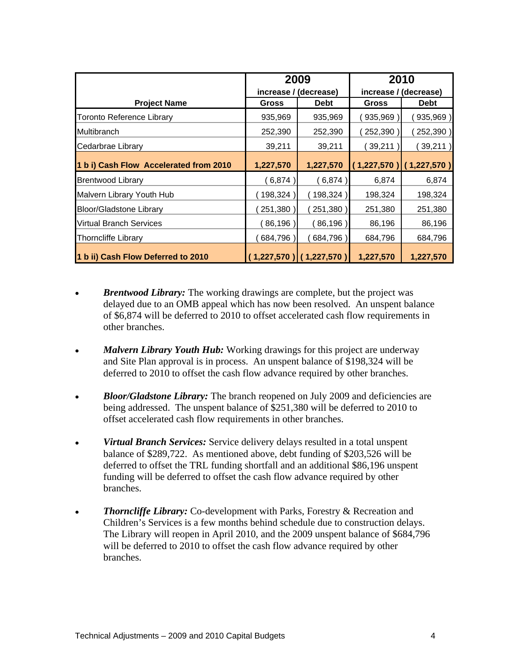|                                        | 2009<br>increase / (decrease) |             | 2010                                    |             |
|----------------------------------------|-------------------------------|-------------|-----------------------------------------|-------------|
|                                        |                               |             | increase / (decrease)                   |             |
| <b>Project Name</b>                    | Gross                         | <b>Debt</b> | Gross                                   | <b>Debt</b> |
| Toronto Reference Library              | 935,969                       | 935,969     | (935,969                                | (935,969)   |
| Multibranch                            | 252,390                       | 252,390     | (252, 390)                              | (252, 390)  |
| Cedarbrae Library                      | 39,211                        | 39,211      | (39, 211)                               | (39,211)    |
| 1 b i) Cash Flow Accelerated from 2010 | 1,227,570                     |             | $1,227,570$ (1,227,570) (1,227,570)     |             |
| <b>Brentwood Library</b>               | (6,874)                       | (6, 874)    | 6,874                                   | 6,874       |
| Malvern Library Youth Hub              | (198,324                      | (198,324    | 198,324                                 | 198,324     |
| <b>Bloor/Gladstone Library</b>         | (251, 380)                    | (251, 380)  | 251,380                                 | 251,380     |
| Virtual Branch Services                | (86, 196)                     | (86, 196)   | 86,196                                  | 86,196      |
| <b>Thorncliffe Library</b>             | (684,796)                     | (684,796)   | 684,796                                 | 684,796     |
| 1 b ii) Cash Flow Deferred to 2010     |                               |             | $(1,227,570)$ $(1,227,570)$ $1,227,570$ | 1,227,570   |

- *Brentwood Library:* The working drawings are complete, but the project was delayed due to an OMB appeal which has now been resolved. An unspent balance of \$6,874 will be deferred to 2010 to offset accelerated cash flow requirements in other branches.
- *Malvern Library Youth Hub:* Working drawings for this project are underway  $\bullet$ and Site Plan approval is in process. An unspent balance of \$198,324 will be deferred to 2010 to offset the cash flow advance required by other branches.
- *Bloor/Gladstone Library:* The branch reopened on July 2009 and deficiencies are  $\bullet$ being addressed. The unspent balance of \$251,380 will be deferred to 2010 to offset accelerated cash flow requirements in other branches.
- *Virtual Branch Services:* Service delivery delays resulted in a total unspent  $\bullet$ balance of \$289,722. As mentioned above, debt funding of \$203,526 will be deferred to offset the TRL funding shortfall and an additional \$86,196 unspent funding will be deferred to offset the cash flow advance required by other branches.
- **Thorncliffe Library:** Co-development with Parks, Forestry & Recreation and  $\bullet$ Children's Services is a few months behind schedule due to construction delays. The Library will reopen in April 2010, and the 2009 unspent balance of \$684,796 will be deferred to 2010 to offset the cash flow advance required by other branches.